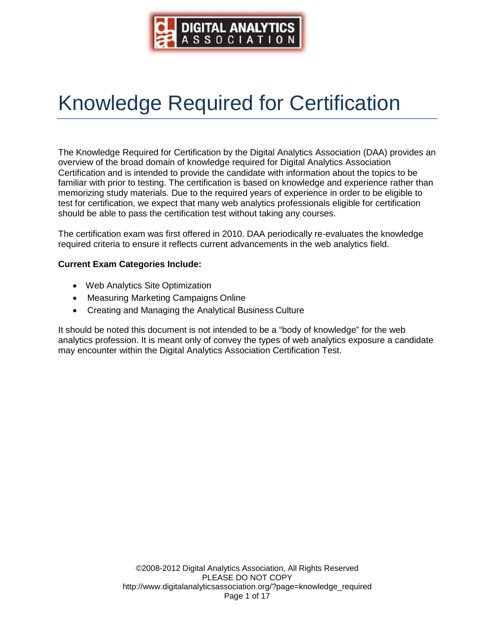

# Knowledge Required for Certification

The Knowledge Required for Certification by the Digital Analytics Association (DAA) provides an overview of the broad domain of knowledge required for Digital Analytics Association Certification and is intended to provide the candidate with information about the topics to be familiar with prior to testing. The certification is based on knowledge and experience rather than memorizing study materials. Due to the required years of experience in order to be eligible to test for certification, we expect that many web analytics professionals eligible for certification should be able to pass the certification test without taking any courses.

The certification exam was first offered in 2010. DAA periodically re-evaluates the knowledge required criteria to ensure it reflects current advancements in the web analytics field.

#### **Current Exam Categories Include:**

- Web Analytics Site Optimization
- Measuring Marketing Campaigns Online
- Creating and Managing the Analytical Business Culture

It should be noted this document is not intended to be a "body of knowledge" for the web analytics profession. It is meant only of convey the types of web analytics exposure a candidate may encounter within the Digital Analytics Association Certification Test.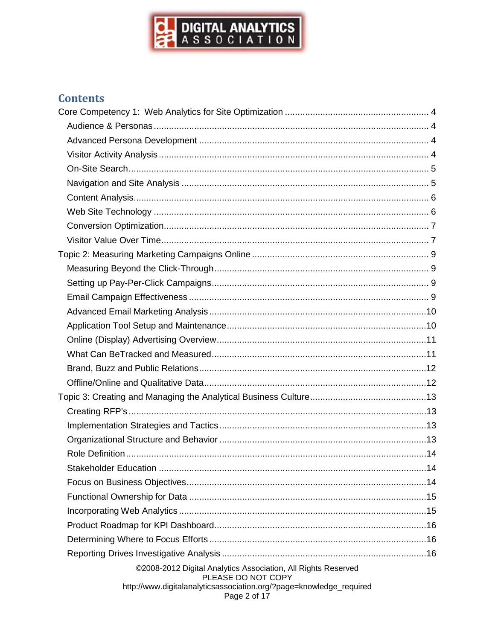

# **Contents**

| Stakeholder Education                                                               |  |
|-------------------------------------------------------------------------------------|--|
|                                                                                     |  |
|                                                                                     |  |
|                                                                                     |  |
|                                                                                     |  |
|                                                                                     |  |
|                                                                                     |  |
| ©2008-2012 Digital Analytics Association, All Rights Reserved<br>PLEASE DO NOT COPY |  |
| http://www.digitalanalyticsassociation.org/?page=knowledge_required<br>Page 2 of 17 |  |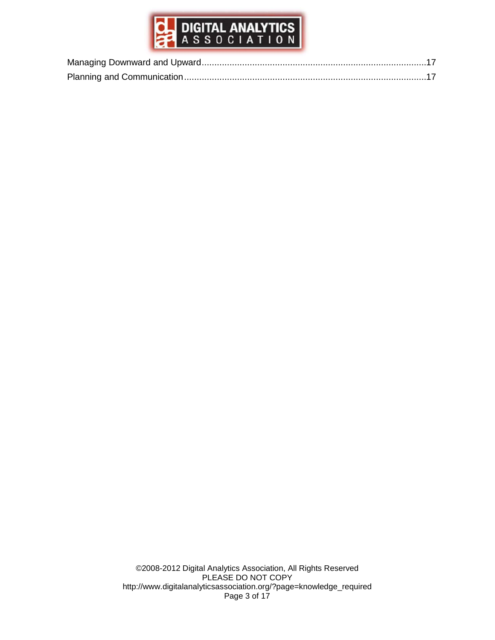

©2008-2012 Digital Analytics Association, All Rights Reserved PLEASE DO NOT COPY [http://www.digitalanalyticsassociation.org/?page=knowledge\\_required](http://www.digitalanalyticsassociation.org/?page=knowledge_required) Page 3 of 17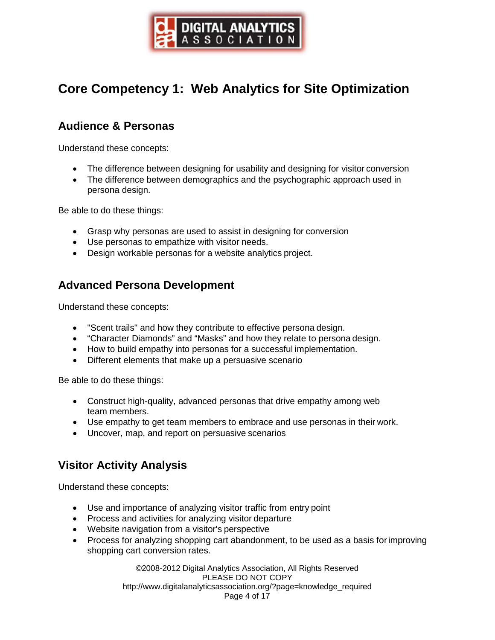

# <span id="page-3-0"></span>**Core Competency 1: Web Analytics for Site Optimization**

# **Audience & Personas**

Understand these concepts:

- The difference between designing for usability and designing for visitor conversion
- The difference between demographics and the psychographic approach used in persona design.

Be able to do these things:

- Grasp why personas are used to assist in designing for conversion
- Use personas to empathize with visitor needs.
- Design workable personas for a website analytics project.

#### **Advanced Persona Development**

Understand these concepts:

- "Scent trails" and how they contribute to effective persona design.
- "Character Diamonds" and "Masks" and how they relate to persona design.
- How to build empathy into personas for a successful implementation.
- Different elements that make up a persuasive scenario

Be able to do these things:

- Construct high-quality, advanced personas that drive empathy among web team members.
- Use empathy to get team members to embrace and use personas in their work.
- Uncover, map, and report on persuasive scenarios

#### **Visitor Activity Analysis**

Understand these concepts:

- Use and importance of analyzing visitor traffic from entry point
- Process and activities for analyzing visitor departure
- Website navigation from a visitor's perspective
- Process for analyzing shopping cart abandonment, to be used as a basis forimproving shopping cart conversion rates.

©2008-2012 Digital Analytics Association, All Rights Reserved PLEASE DO NOT COPY [http://www.digitalanalyticsassociation.org/?page=knowledge\\_required](http://www.digitalanalyticsassociation.org/?page=knowledge_required) Page 4 of 17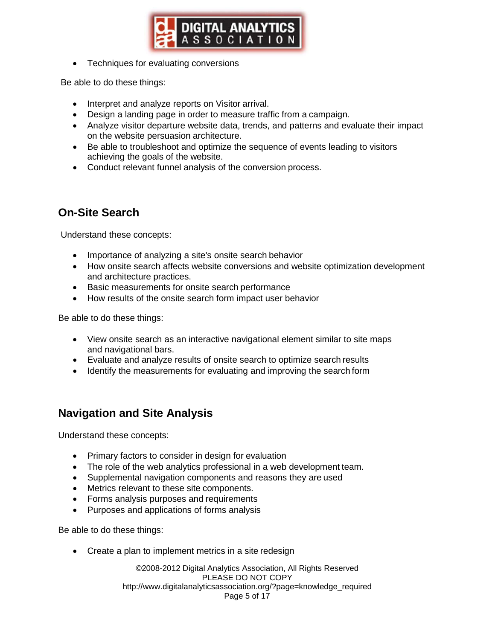

<span id="page-4-0"></span>• Techniques for evaluating conversions

Be able to do these things:

- Interpret and analyze reports on Visitor arrival.
- Design a landing page in order to measure traffic from a campaign.
- Analyze visitor departure website data, trends, and patterns and evaluate their impact on the website persuasion architecture.
- Be able to troubleshoot and optimize the sequence of events leading to visitors achieving the goals of the website.
- Conduct relevant funnel analysis of the conversion process.

# **On-Site Search**

Understand these concepts:

- Importance of analyzing a site's onsite search behavior
- How onsite search affects website conversions and website optimization development and architecture practices.
- Basic measurements for onsite search performance
- How results of the onsite search form impact user behavior

Be able to do these things:

- View onsite search as an interactive navigational element similar to site maps and navigational bars.
- Evaluate and analyze results of onsite search to optimize search results
- Identify the measurements for evaluating and improving the search form

#### **Navigation and Site Analysis**

Understand these concepts:

- Primary factors to consider in design for evaluation
- The role of the web analytics professional in a web development team.
- Supplemental navigation components and reasons they are used
- Metrics relevant to these site components.
- Forms analysis purposes and requirements
- Purposes and applications of forms analysis

Be able to do these things:

• Create a plan to implement metrics in a site redesign

©2008-2012 Digital Analytics Association, All Rights Reserved PLEASE DO NOT COPY [http://www.digitalanalyticsassociation.org/?page=knowledge\\_required](http://www.digitalanalyticsassociation.org/?page=knowledge_required) Page 5 of 17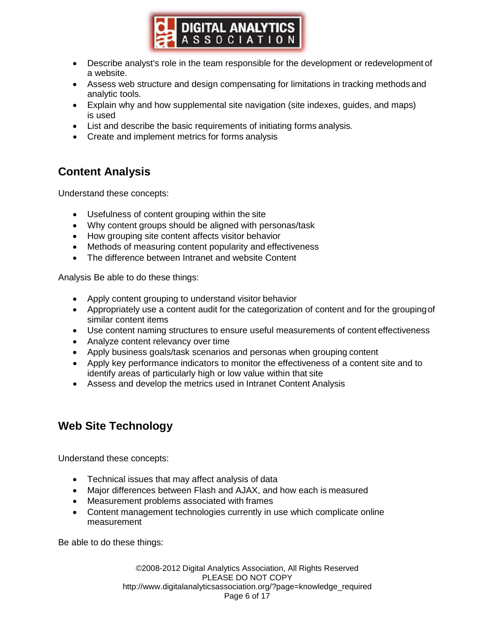

- <span id="page-5-0"></span>• Describe analyst's role in the team responsible for the development or redevelopment of a website.
- Assess web structure and design compensating for limitations in tracking methods and analytic tools.
- Explain why and how supplemental site navigation (site indexes, guides, and maps) is used
- List and describe the basic requirements of initiating forms analysis.
- Create and implement metrics for forms analysis

## **Content Analysis**

Understand these concepts:

- Usefulness of content grouping within the site
- Why content groups should be aligned with personas/task
- How grouping site content affects visitor behavior
- Methods of measuring content popularity and effectiveness
- The difference between Intranet and website Content

Analysis Be able to do these things:

- Apply content grouping to understand visitor behavior
- Appropriately use a content audit for the categorization of content and for the groupingof similar content items
- Use content naming structures to ensure useful measurements of content effectiveness
- Analyze content relevancy over time
- Apply business goals/task scenarios and personas when grouping content
- Apply key performance indicators to monitor the effectiveness of a content site and to identify areas of particularly high or low value within that site
- Assess and develop the metrics used in Intranet Content Analysis

# **Web Site Technology**

Understand these concepts:

- Technical issues that may affect analysis of data
- Major differences between Flash and AJAX, and how each is measured
- Measurement problems associated with frames
- Content management technologies currently in use which complicate online measurement

Be able to do these things:

©2008-2012 Digital Analytics Association, All Rights Reserved PLEASE DO NOT COPY [http://www.digitalanalyticsassociation.org/?page=knowledge\\_required](http://www.digitalanalyticsassociation.org/?page=knowledge_required) Page 6 of 17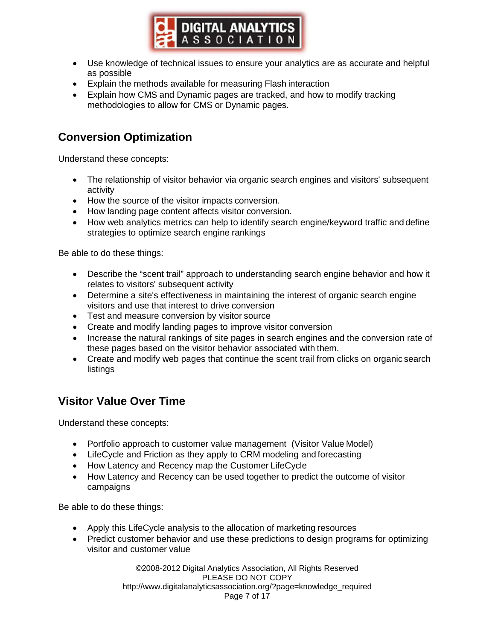

- <span id="page-6-0"></span>• Use knowledge of technical issues to ensure your analytics are as accurate and helpful as possible
- Explain the methods available for measuring Flash interaction
- Explain how CMS and Dynamic pages are tracked, and how to modify tracking methodologies to allow for CMS or Dynamic pages.

# **Conversion Optimization**

Understand these concepts:

- The relationship of visitor behavior via organic search engines and visitors' subsequent activity
- How the source of the visitor impacts conversion.
- How landing page content affects visitor conversion.
- How web analytics metrics can help to identify search engine/keyword traffic and define strategies to optimize search engine rankings

Be able to do these things:

- Describe the "scent trail" approach to understanding search engine behavior and how it relates to visitors' subsequent activity
- Determine a site's effectiveness in maintaining the interest of organic search engine visitors and use that interest to drive conversion
- Test and measure conversion by visitor source
- Create and modify landing pages to improve visitor conversion
- Increase the natural rankings of site pages in search engines and the conversion rate of these pages based on the visitor behavior associated with them.
- Create and modify web pages that continue the scent trail from clicks on organic search listings

#### **Visitor Value Over Time**

Understand these concepts:

- Portfolio approach to customer value management (Visitor Value Model)
- LifeCycle and Friction as they apply to CRM modeling and forecasting
- How Latency and Recency map the Customer LifeCycle
- How Latency and Recency can be used together to predict the outcome of visitor campaigns

Be able to do these things:

- Apply this LifeCycle analysis to the allocation of marketing resources
- Predict customer behavior and use these predictions to design programs for optimizing visitor and customer value

©2008-2012 Digital Analytics Association, All Rights Reserved PLEASE DO NOT COPY [http://www.digitalanalyticsassociation.org/?page=knowledge\\_required](http://www.digitalanalyticsassociation.org/?page=knowledge_required) Page 7 of 17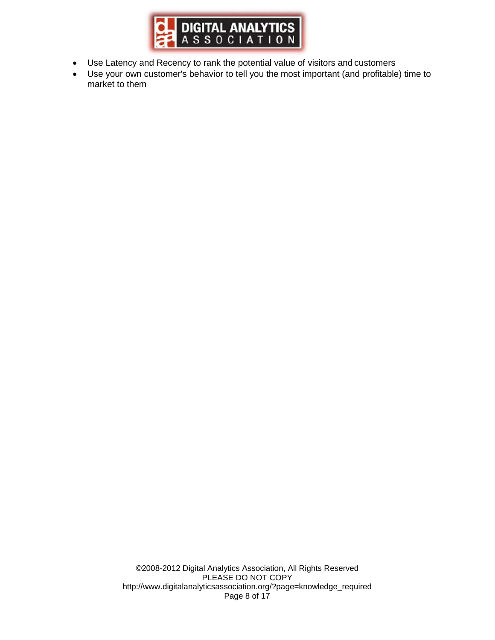

- Use Latency and Recency to rank the potential value of visitors and customers
- Use your own customer's behavior to tell you the most important (and profitable) time to market to them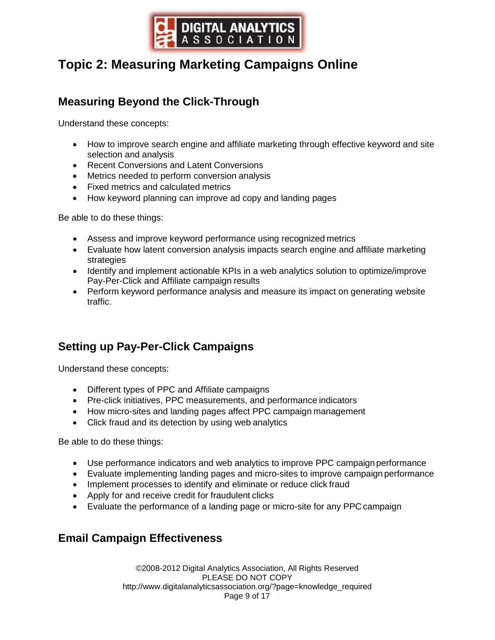

# <span id="page-8-0"></span>**Topic 2: Measuring Marketing Campaigns Online**

# **Measuring Beyond the Click-Through**

Understand these concepts:

- How to improve search engine and affiliate marketing through effective keyword and site selection and analysis
- Recent Conversions and Latent Conversions
- Metrics needed to perform conversion analysis
- Fixed metrics and calculated metrics
- How keyword planning can improve ad copy and landing pages

Be able to do these things:

- Assess and improve keyword performance using recognized metrics
- Evaluate how latent conversion analysis impacts search engine and affiliate marketing strategies
- Identify and implement actionable KPIs in a web analytics solution to optimize/improve Pay-Per-Click and Affiliate campaign results
- Perform keyword performance analysis and measure its impact on generating website traffic.

# **Setting up Pay-Per-Click Campaigns**

Understand these concepts:

- Different types of PPC and Affiliate campaigns
- Pre-click initiatives, PPC measurements, and performance indicators
- How micro-sites and landing pages affect PPC campaign management
- Click fraud and its detection by using web analytics

Be able to do these things:

- Use performance indicators and web analytics to improve PPC campaign performance
- Evaluate implementing landing pages and micro-sites to improve campaign performance
- Implement processes to identify and eliminate or reduce click fraud
- Apply for and receive credit for fraudulent clicks
- Evaluate the performance of a landing page or micro-site for any PPC campaign

#### **Email Campaign Effectiveness**

©2008-2012 Digital Analytics Association, All Rights Reserved PLEASE DO NOT COPY [http://www.digitalanalyticsassociation.org/?page=knowledge\\_required](http://www.digitalanalyticsassociation.org/?page=knowledge_required) Page 9 of 17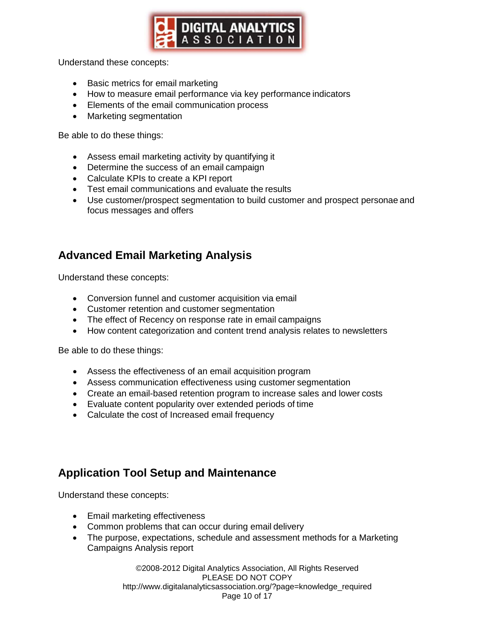

<span id="page-9-0"></span>Understand these concepts:

- Basic metrics for email marketing
- How to measure email performance via key performance indicators
- Elements of the email communication process
- Marketing segmentation

Be able to do these things:

- Assess email marketing activity by quantifying it
- Determine the success of an email campaign
- Calculate KPIs to create a KPI report
- Test email communications and evaluate the results
- Use customer/prospect segmentation to build customer and prospect personae and focus messages and offers

## **Advanced Email Marketing Analysis**

Understand these concepts:

- Conversion funnel and customer acquisition via email
- Customer retention and customer segmentation
- The effect of Recency on response rate in email campaigns
- How content categorization and content trend analysis relates to newsletters

Be able to do these things:

- Assess the effectiveness of an email acquisition program
- Assess communication effectiveness using customer segmentation
- Create an email-based retention program to increase sales and lower costs
- Evaluate content popularity over extended periods of time
- Calculate the cost of Increased email frequency

#### **Application Tool Setup and Maintenance**

Understand these concepts:

- Email marketing effectiveness
- Common problems that can occur during email delivery
- The purpose, expectations, schedule and assessment methods for a Marketing Campaigns Analysis report

©2008-2012 Digital Analytics Association, All Rights Reserved PLEASE DO NOT COPY [http://www.digitalanalyticsassociation.org/?page=knowledge\\_required](http://www.digitalanalyticsassociation.org/?page=knowledge_required) Page 10 of 17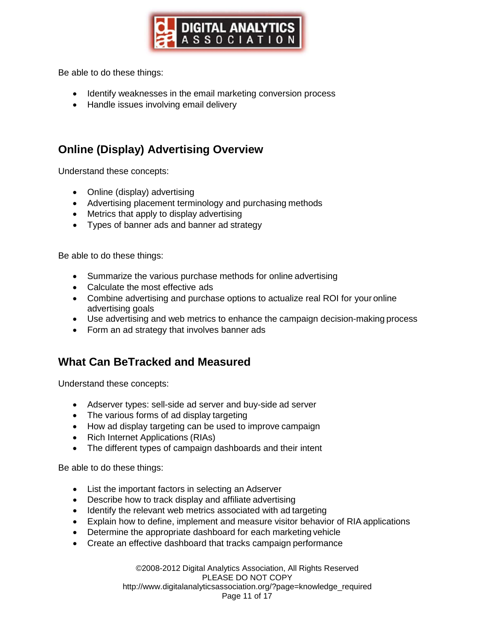

<span id="page-10-0"></span>Be able to do these things:

- Identify weaknesses in the email marketing conversion process
- Handle issues involving email delivery

# **Online (Display) Advertising Overview**

Understand these concepts:

- Online (display) advertising
- Advertising placement terminology and purchasing methods
- Metrics that apply to display advertising
- Types of banner ads and banner ad strategy

Be able to do these things:

- Summarize the various purchase methods for online advertising
- Calculate the most effective ads
- Combine advertising and purchase options to actualize real ROI for your online advertising goals
- Use advertising and web metrics to enhance the campaign decision-making process
- Form an ad strategy that involves banner ads

#### **What Can BeTracked and Measured**

Understand these concepts:

- Adserver types: sell-side ad server and buy-side ad server
- The various forms of ad display targeting
- How ad display targeting can be used to improve campaign
- Rich Internet Applications (RIAs)
- The different types of campaign dashboards and their intent

Be able to do these things:

- List the important factors in selecting an Adserver
- Describe how to track display and affiliate advertising
- Identify the relevant web metrics associated with ad targeting
- Explain how to define, implement and measure visitor behavior of RIA applications
- Determine the appropriate dashboard for each marketing vehicle
- Create an effective dashboard that tracks campaign performance

©2008-2012 Digital Analytics Association, All Rights Reserved PLEASE DO NOT COPY [http://www.digitalanalyticsassociation.org/?page=knowledge\\_required](http://www.digitalanalyticsassociation.org/?page=knowledge_required) Page 11 of 17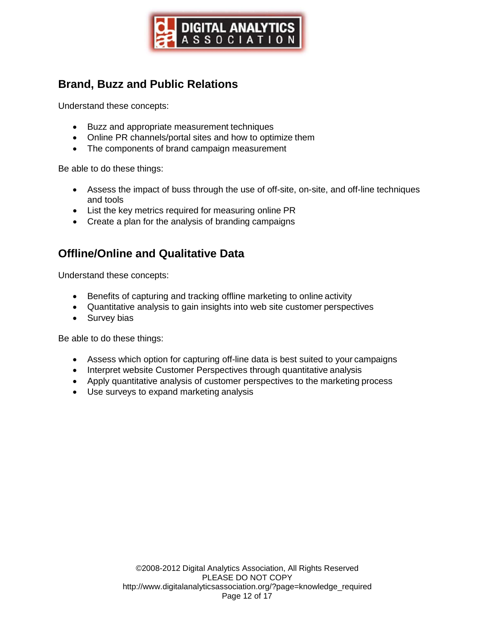

# <span id="page-11-0"></span>**Brand, Buzz and Public Relations**

Understand these concepts:

- Buzz and appropriate measurement techniques
- Online PR channels/portal sites and how to optimize them
- The components of brand campaign measurement

Be able to do these things:

- Assess the impact of buss through the use of off-site, on-site, and off-line techniques and tools
- List the key metrics required for measuring online PR
- Create a plan for the analysis of branding campaigns

## **Offline/Online and Qualitative Data**

Understand these concepts:

- Benefits of capturing and tracking offline marketing to online activity
- Quantitative analysis to gain insights into web site customer perspectives
- Survey bias

Be able to do these things:

- Assess which option for capturing off-line data is best suited to your campaigns
- Interpret website Customer Perspectives through quantitative analysis
- Apply quantitative analysis of customer perspectives to the marketing process
- Use surveys to expand marketing analysis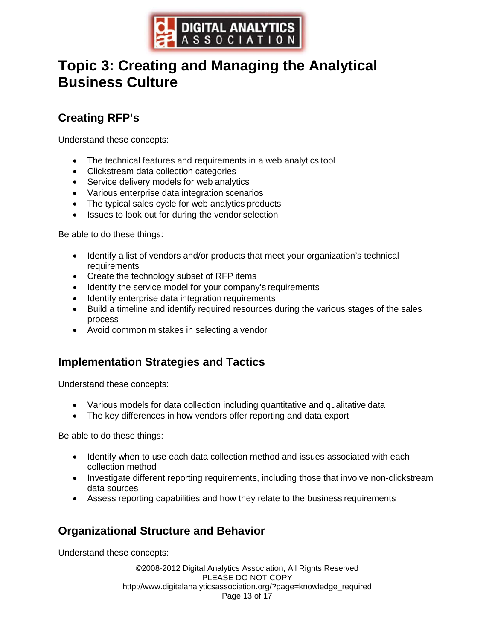

# <span id="page-12-0"></span>**Topic 3: Creating and Managing the Analytical Business Culture**

# **Creating RFP's**

Understand these concepts:

- The technical features and requirements in a web analytics tool
- Clickstream data collection categories
- Service delivery models for web analytics
- Various enterprise data integration scenarios
- The typical sales cycle for web analytics products
- Issues to look out for during the vendor selection

Be able to do these things:

- Identify a list of vendors and/or products that meet your organization's technical requirements
- Create the technology subset of RFP items
- Identify the service model for your company's requirements
- Identify enterprise data integration requirements
- Build a timeline and identify required resources during the various stages of the sales process
- Avoid common mistakes in selecting a vendor

#### **Implementation Strategies and Tactics**

Understand these concepts:

- Various models for data collection including quantitative and qualitative data
- The key differences in how vendors offer reporting and data export

Be able to do these things:

- Identify when to use each data collection method and issues associated with each collection method
- Investigate different reporting requirements, including those that involve non-clickstream data sources
- Assess reporting capabilities and how they relate to the business requirements

# **Organizational Structure and Behavior**

Understand these concepts:

©2008-2012 Digital Analytics Association, All Rights Reserved PLEASE DO NOT COPY [http://www.digitalanalyticsassociation.org/?page=knowledge\\_required](http://www.digitalanalyticsassociation.org/?page=knowledge_required) Page 13 of 17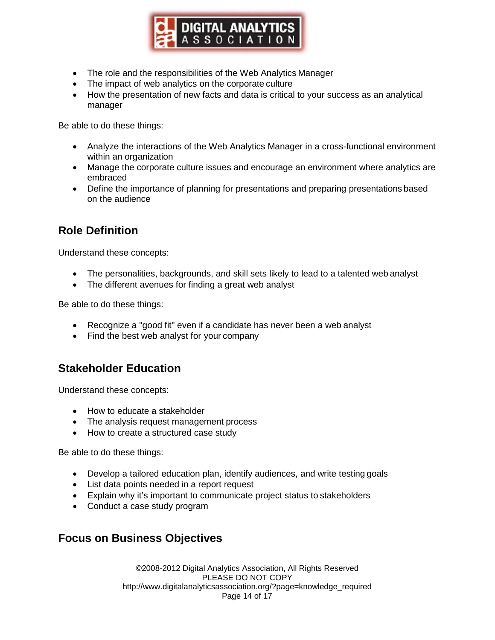

- <span id="page-13-0"></span>• The role and the responsibilities of the Web Analytics Manager
- The impact of web analytics on the corporate culture
- How the presentation of new facts and data is critical to your success as an analytical manager

Be able to do these things:

- Analyze the interactions of the Web Analytics Manager in a cross-functional environment within an organization
- Manage the corporate culture issues and encourage an environment where analytics are embraced
- Define the importance of planning for presentations and preparing presentations based on the audience

# **Role Definition**

Understand these concepts:

- The personalities, backgrounds, and skill sets likely to lead to a talented web analyst
- The different avenues for finding a great web analyst

Be able to do these things:

- Recognize a "good fit" even if a candidate has never been a web analyst
- Find the best web analyst for your company

#### **Stakeholder Education**

Understand these concepts:

- How to educate a stakeholder
- The analysis request management process
- How to create a structured case study

Be able to do these things:

- Develop a tailored education plan, identify audiences, and write testing goals
- List data points needed in a report request
- Explain why it's important to communicate project status to stakeholders
- Conduct a case study program

#### **Focus on Business Objectives**

©2008-2012 Digital Analytics Association, All Rights Reserved PLEASE DO NOT COPY [http://www.digitalanalyticsassociation.org/?page=knowledge\\_required](http://www.digitalanalyticsassociation.org/?page=knowledge_required) Page 14 of 17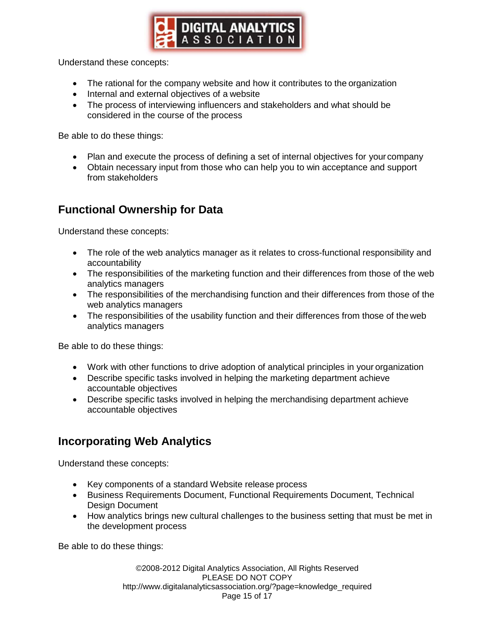

<span id="page-14-0"></span>Understand these concepts:

- The rational for the company website and how it contributes to the organization
- Internal and external objectives of a website
- The process of interviewing influencers and stakeholders and what should be considered in the course of the process

Be able to do these things:

- Plan and execute the process of defining a set of internal objectives for your company
- Obtain necessary input from those who can help you to win acceptance and support from stakeholders

## **Functional Ownership for Data**

Understand these concepts:

- The role of the web analytics manager as it relates to cross-functional responsibility and accountability
- The responsibilities of the marketing function and their differences from those of the web analytics managers
- The responsibilities of the merchandising function and their differences from those of the web analytics managers
- The responsibilities of the usability function and their differences from those of the web analytics managers

Be able to do these things:

- Work with other functions to drive adoption of analytical principles in your organization
- Describe specific tasks involved in helping the marketing department achieve accountable objectives
- Describe specific tasks involved in helping the merchandising department achieve accountable objectives

#### **Incorporating Web Analytics**

Understand these concepts:

- Key components of a standard Website release process
- Business Requirements Document, Functional Requirements Document, Technical Design Document
- How analytics brings new cultural challenges to the business setting that must be met in the development process

Be able to do these things:

©2008-2012 Digital Analytics Association, All Rights Reserved PLEASE DO NOT COPY [http://www.digitalanalyticsassociation.org/?page=knowledge\\_required](http://www.digitalanalyticsassociation.org/?page=knowledge_required) Page 15 of 17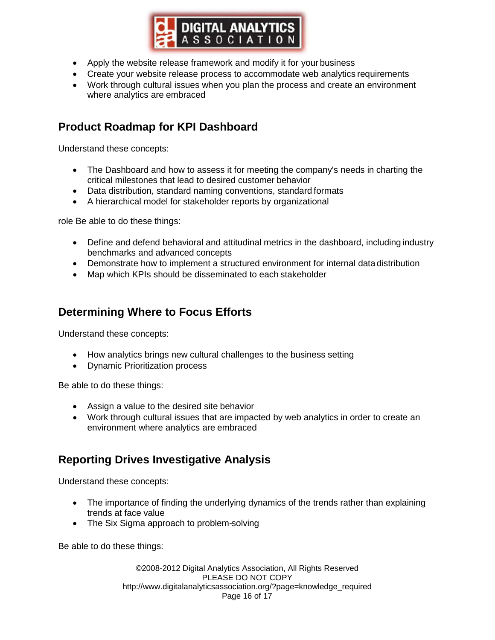

- <span id="page-15-0"></span>• Apply the website release framework and modify it for your business
- Create your website release process to accommodate web analytics requirements
- Work through cultural issues when you plan the process and create an environment where analytics are embraced

# **Product Roadmap for KPI Dashboard**

Understand these concepts:

- The Dashboard and how to assess it for meeting the company's needs in charting the critical milestones that lead to desired customer behavior
- Data distribution, standard naming conventions, standard formats
- A hierarchical model for stakeholder reports by organizational

role Be able to do these things:

- Define and defend behavioral and attitudinal metrics in the dashboard, including industry benchmarks and advanced concepts
- Demonstrate how to implement a structured environment for internal data distribution
- Map which KPIs should be disseminated to each stakeholder

#### **Determining Where to Focus Efforts**

Understand these concepts:

- How analytics brings new cultural challenges to the business setting
- Dynamic Prioritization process

Be able to do these things:

- Assign a value to the desired site behavior
- Work through cultural issues that are impacted by web analytics in order to create an environment where analytics are embraced

# **Reporting Drives Investigative Analysis**

Understand these concepts:

- The importance of finding the underlying dynamics of the trends rather than explaining trends at face value
- The Six Sigma approach to problem-solving

Be able to do these things:

©2008-2012 Digital Analytics Association, All Rights Reserved PLEASE DO NOT COPY [http://www.digitalanalyticsassociation.org/?page=knowledge\\_required](http://www.digitalanalyticsassociation.org/?page=knowledge_required) Page 16 of 17